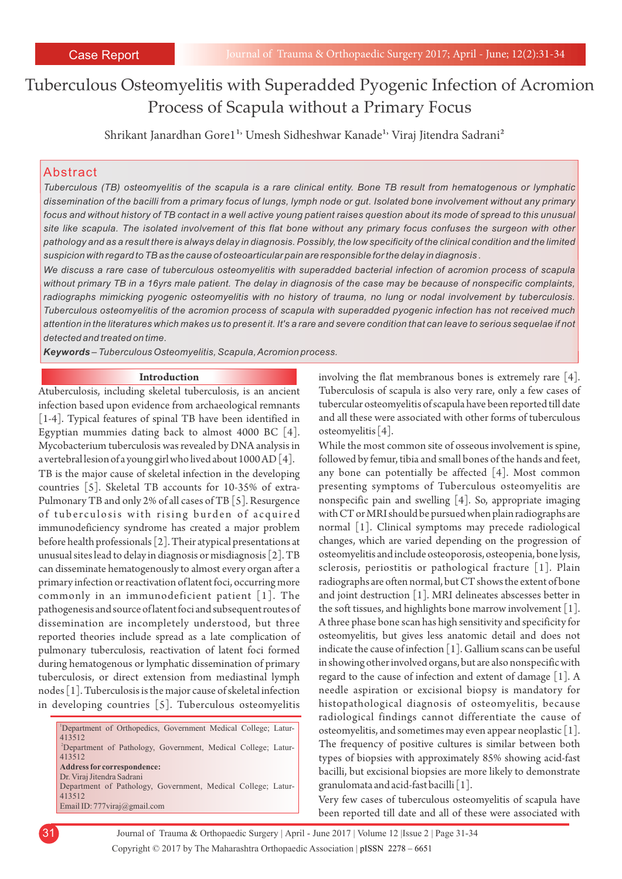# Tuberculous Osteomyelitis with Superadded Pyogenic Infection of Acromion Process of Scapula without a Primary Focus

Shrikant Janardhan Gore1<sup>1,</sup> Umesh Sidheshwar Kanade<sup>1,</sup> Viraj Jitendra Sadrani<sup>2</sup>

## Abstract

*Tuberculous (TB) osteomyelitis of the scapula is a rare clinical entity. Bone TB result from hematogenous or lymphatic dissemination of the bacilli from a primary focus of lungs, lymph node or gut. Isolated bone involvement without any primary focus and without history of TB contact in a well active young patient raises question about its mode of spread to this unusual site like scapula. The isolated involvement of this flat bone without any primary focus confuses the surgeon with other pathology and as a result there is always delay in diagnosis. Possibly, the low specificity of the clinical condition and the limited suspicion with regard to TB as the cause of osteoarticular pain are responsible for the delay in diagnosis .*

*We discuss a rare case of tuberculous osteomyelitis with superadded bacterial infection of acromion process of scapula without primary TB in a 16yrs male patient. The delay in diagnosis of the case may be because of nonspecific complaints, radiographs mimicking pyogenic osteomyelitis with no history of trauma, no lung or nodal involvement by tuberculosis. Tuberculous osteomyelitis of the acromion process of scapula with superadded pyogenic infection has not received much attention in the literatures which makes us to present it. It's a rare and severe condition that can leave to serious sequelae if not detected and treated on time.*

*Keywords – Tuberculous Osteomyelitis, Scapula, Acromion process.*

#### **Introduction**

Atuberculosis, including skeletal tuberculosis, is an ancient infection based upon evidence from archaeological remnants [1-4]. Typical features of spinal TB have been identified in Egyptian mummies dating back to almost 4000 BC [4]. Mycobacterium tuberculosis was revealed by DNA analysis in a vertebral lesion of a young girl who lived about 1000 AD [4]. TB is the major cause of skeletal infection in the developing countries [5]. Skeletal TB accounts for 10-35% of extra-Pulmonary TB and only 2% of all cases of TB [5]. Resurgence of tuberculosis with rising burden of acquired immunodeficiency syndrome has created a major problem before health professionals [2]. Their atypical presentations at unusual sites lead to delay in diagnosis or misdiagnosis [2]. TB can disseminate hematogenously to almost every organ after a primary infection or reactivation of latent foci, occurring more commonly in an immunodeficient patient [1]. The pathogenesis and source of latent foci and subsequent routes of dissemination are incompletely understood, but three reported theories include spread as a late complication of pulmonary tuberculosis, reactivation of latent foci formed during hematogenous or lymphatic dissemination of primary tuberculosis, or direct extension from mediastinal lymph nodes [1]. Tuberculosis is the major cause of skeletal infection in developing countries [5]. Tuberculous osteomyelitis

<sup>1</sup>Department of Orthopedics, Government Medical College; Latur-413512 <sup>2</sup>Department of Pathology, Government, Medical College; Latur-413512 **Address for correspondence:**  Dr. Viraj Jitendra Sadrani Department of Pathology, Government, Medical College; Latur-413512 Email ID: 777viraj@gmail.com

involving the flat membranous bones is extremely rare [4]. Tuberculosis of scapula is also very rare, only a few cases of tubercular osteomyelitis of scapula have been reported till date and all these were associated with other forms of tuberculous osteomyelitis [4].

While the most common site of osseous involvement is spine, followed by femur, tibia and small bones of the hands and feet, any bone can potentially be affected [4]. Most common presenting symptoms of Tuberculous osteomyelitis are nonspecific pain and swelling [4]. So, appropriate imaging with CT or MRI should be pursued when plain radiographs are normal [1]. Clinical symptoms may precede radiological changes, which are varied depending on the progression of osteomyelitis and include osteoporosis, osteopenia, bone lysis, sclerosis, periostitis or pathological fracture [1]. Plain radiographs are often normal, but CT shows the extent of bone and joint destruction [1]. MRI delineates abscesses better in the soft tissues, and highlights bone marrow involvement [1]. A three phase bone scan has high sensitivity and specificity for osteomyelitis, but gives less anatomic detail and does not indicate the cause of infection [1]. Gallium scans can be useful in showing other involved organs, but are also nonspecific with regard to the cause of infection and extent of damage  $[1]$ . A needle aspiration or excisional biopsy is mandatory for histopathological diagnosis of osteomyelitis, because radiological findings cannot differentiate the cause of osteomyelitis, and sometimes may even appear neoplastic [1]. The frequency of positive cultures is similar between both types of biopsies with approximately 85% showing acid-fast bacilli, but excisional biopsies are more likely to demonstrate granulomata and acid-fast bacilli [1].

Very few cases of tuberculous osteomyelitis of scapula have been reported till date and all of these were associated with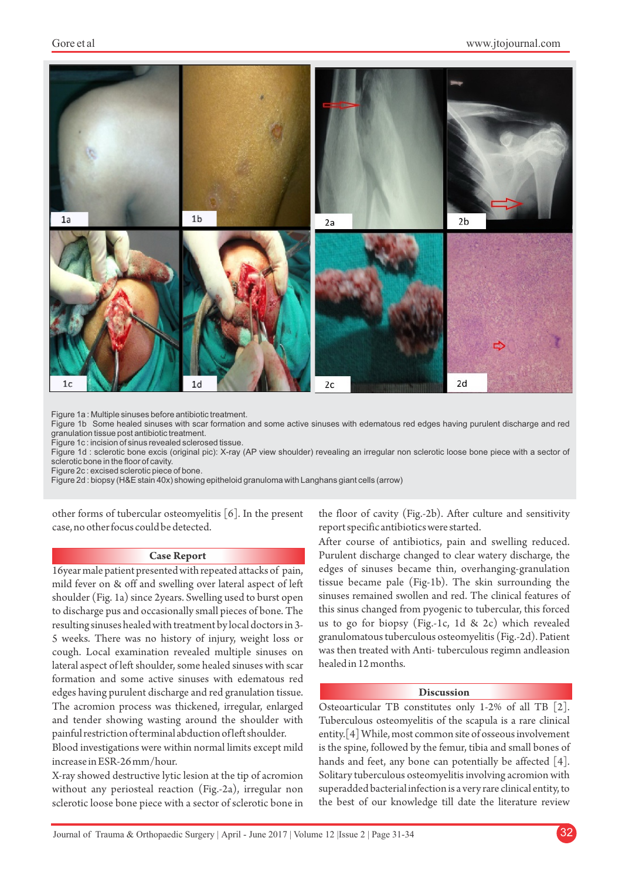#### Gore et al



Figure 1a : Multiple sinuses before antibiotic treatment.

Figure 1b Some healed sinuses with scar formation and some active sinuses with edematous red edges having purulent discharge and red granulation tissue post antibiotic treatment.

Figure 1c : incision of sinus revealed sclerosed tissue.

Figure 1d : sclerotic bone excis (original pic): X-ray (AP view shoulder) revealing an irregular non sclerotic loose bone piece with a sector of sclerotic bone in the floor of cavity.

Figure 2c : excised sclerotic piece of bone.

Figure 2d : biopsy (H&E stain 40x) showing epitheloid granuloma with Langhans giant cells (arrow)

other forms of tubercular osteomyelitis [6]. In the present case, no other focus could be detected.

#### **Case Report**

16year male patient presented with repeated attacks of pain, mild fever on & off and swelling over lateral aspect of left shoulder (Fig. 1a) since 2years. Swelling used to burst open to discharge pus and occasionally small pieces of bone. The resulting sinuses healed with treatment by local doctors in 3- 5 weeks. There was no history of injury, weight loss or cough. Local examination revealed multiple sinuses on lateral aspect of left shoulder, some healed sinuses with scar formation and some active sinuses with edematous red edges having purulent discharge and red granulation tissue. The acromion process was thickened, irregular, enlarged and tender showing wasting around the shoulder with painful restriction of terminal abduction of left shoulder.

Blood investigations were within normal limits except mild increase in ESR-26 mm/hour.

X-ray showed destructive lytic lesion at the tip of acromion without any periosteal reaction (Fig.-2a), irregular non sclerotic loose bone piece with a sector of sclerotic bone in the floor of cavity (Fig.-2b). After culture and sensitivity report specific antibiotics were started.

After course of antibiotics, pain and swelling reduced. Purulent discharge changed to clear watery discharge, the edges of sinuses became thin, overhanging-granulation tissue became pale (Fig-1b). The skin surrounding the sinuses remained swollen and red. The clinical features of this sinus changed from pyogenic to tubercular, this forced us to go for biopsy (Fig.-1c, 1d & 2c) which revealed granulomatous tuberculous osteomyelitis (Fig.-2d). Patient was then treated with Anti- tuberculous regimn andleasion healed in 12 months.

#### **Discussion**

Osteoarticular TB constitutes only 1-2% of all TB [2]. Tuberculous osteomyelitis of the scapula is a rare clinical entity.[4] While, most common site of osseous involvement is the spine, followed by the femur, tibia and small bones of hands and feet, any bone can potentially be affected [4]. Solitary tuberculous osteomyelitis involving acromion with superadded bacterial infection is a very rare clinical entity, to the best of our knowledge till date the literature review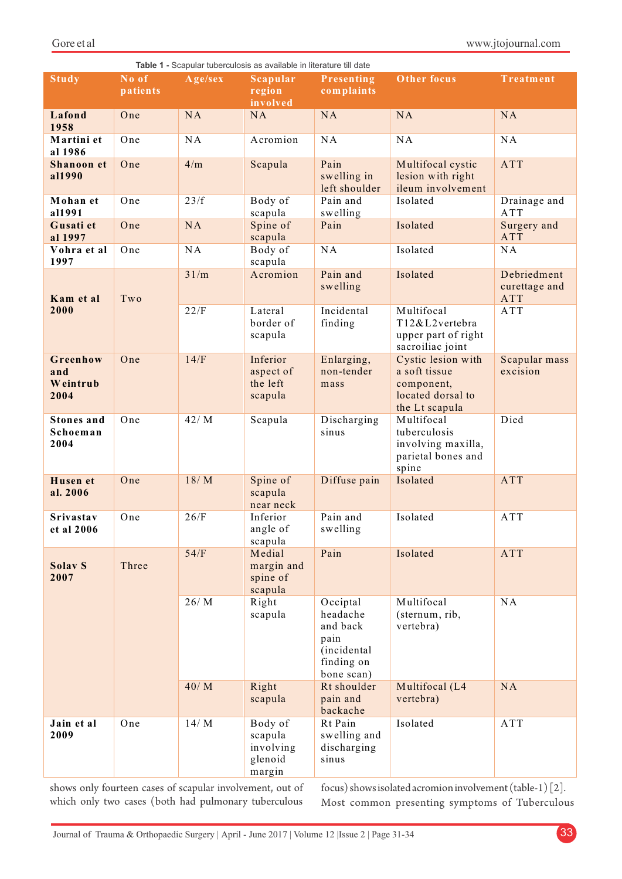|                                       |          |              | <b>Table 1 -</b> Scapular tuberculosis as available in literature till date |                                                                                     |                                                                                          |                                                   |
|---------------------------------------|----------|--------------|-----------------------------------------------------------------------------|-------------------------------------------------------------------------------------|------------------------------------------------------------------------------------------|---------------------------------------------------|
| <b>Study</b>                          | No of    | Age/sex      | Scapular                                                                    | Presenting                                                                          | Other focus                                                                              | Treatment                                         |
|                                       | patients |              | region<br>involved                                                          | complaints                                                                          |                                                                                          |                                                   |
| Lafond                                | One      | <b>NA</b>    | NA                                                                          | <b>NA</b>                                                                           | <b>NA</b>                                                                                | NA                                                |
| 1958                                  |          |              |                                                                             |                                                                                     |                                                                                          |                                                   |
| Martini et<br>al 1986                 | One      | NA           | Acromion                                                                    | NA                                                                                  | NA                                                                                       | NA                                                |
| Shanoon et<br>al1990                  | One      | 4/m          | Scapula                                                                     | Pain<br>swelling in<br>left shoulder                                                | Multifocal cystic<br>lesion with right<br>ileum involvement                              | ATT                                               |
| Mohan et<br>al1991                    | One      | 23/f         | Body of<br>scapula                                                          | Pain and<br>swelling                                                                | Isolated                                                                                 | Drainage and<br>ATT                               |
| Gusati et<br>al 1997                  | One      | NA           | Spine of<br>scapula                                                         | Pain                                                                                | Isolated                                                                                 | Surgery and<br><b>ATT</b>                         |
| Vohra et al<br>1997                   | One      | NA           | Body of<br>scapula                                                          | NA                                                                                  | Isolated                                                                                 | NA                                                |
| Kam et al<br>2000                     | Two      | 31/m<br>22/F | Acromion<br>Lateral                                                         | Pain and<br>swelling<br>Incidental                                                  | Isolated<br>Multifocal                                                                   | Debriedment<br>curettage and<br><b>ATT</b><br>ATT |
|                                       |          |              | border of<br>scapula                                                        | finding                                                                             | T12&L2vertebra<br>upper part of right<br>sacroiliac joint                                |                                                   |
| Greenhow<br>and<br>Weintrub<br>2004   | One      | 14/F         | Inferior<br>aspect of<br>the left<br>scapula                                | Enlarging,<br>non-tender<br>mass                                                    | Cystic lesion with<br>a soft tissue<br>component,<br>located dorsal to<br>the Lt scapula | Scapular mass<br>excision                         |
| <b>Stones</b> and<br>Schoeman<br>2004 | One      | 42/M         | Scapula                                                                     | Discharging<br>sinus                                                                | Multifocal<br>tuberculosis<br>involving maxilla,<br>parietal bones and<br>spine          | Died                                              |
| <b>Husen</b> et<br>al. 2006           | One      | 18/M         | Spine of<br>scapula<br>near neck                                            | Diffuse pain                                                                        | Isolated                                                                                 | ATT                                               |
| Srivastav<br>et al 2006               | One      | 26/F         | Inferior<br>angle of<br>scapula                                             | Pain and<br>swelling                                                                | Isolated                                                                                 | ATT                                               |
| Solav S<br>2007                       | Three    | 54/F         | Medial<br>margin and<br>spine of<br>scapula                                 | Pain                                                                                | Isolated                                                                                 | <b>ATT</b>                                        |
|                                       |          | 26/M         | Right<br>scapula                                                            | Occiptal<br>headache<br>and back<br>pain<br>(incidental<br>finding on<br>bone scan) | Multifocal<br>(sternum, rib,<br>vertebra)                                                | NA                                                |
|                                       |          | 40/M         | Right<br>scapula                                                            | Rt shoulder<br>pain and<br>backache                                                 | Multifocal (L4<br>vertebra)                                                              | NA                                                |
| Jain et al<br>2009                    | One      | 14/M         | Body of<br>scapula<br>involving<br>glenoid<br>margin                        | Rt Pain<br>swelling and<br>discharging<br>sinus                                     | Isolated                                                                                 | ATT                                               |

shows only fourteen cases of scapular involvement, out of which only two cases (both had pulmonary tuberculous

focus) shows isolated acromion involvement (table-1) [2]. Most common presenting symptoms of Tuberculous